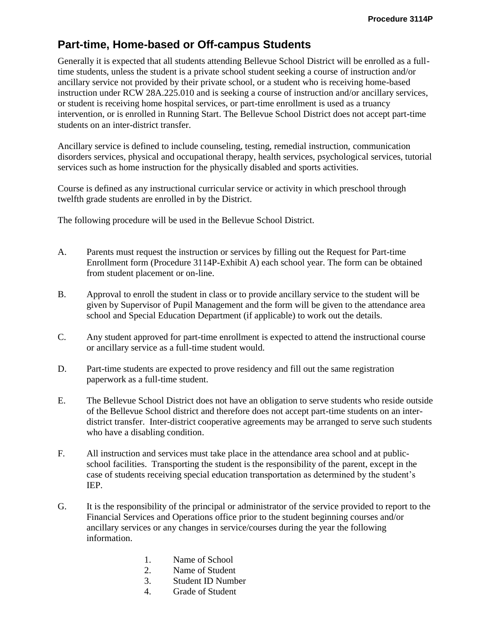## **Part-time, Home-based or Off-campus Students**

Generally it is expected that all students attending Bellevue School District will be enrolled as a fulltime students, unless the student is a private school student seeking a course of instruction and/or ancillary service not provided by their private school, or a student who is receiving home-based instruction under RCW 28A.225.010 and is seeking a course of instruction and/or ancillary services, or student is receiving home hospital services, or part-time enrollment is used as a truancy intervention, or is enrolled in Running Start. The Bellevue School District does not accept part-time students on an inter-district transfer.

Ancillary service is defined to include counseling, testing, remedial instruction, communication disorders services, physical and occupational therapy, health services, psychological services, tutorial services such as home instruction for the physically disabled and sports activities.

Course is defined as any instructional curricular service or activity in which preschool through twelfth grade students are enrolled in by the District.

The following procedure will be used in the Bellevue School District.

- A. Parents must request the instruction or services by filling out the Request for Part-time Enrollment form (Procedure 3114P-Exhibit A) each school year. The form can be obtained from student placement or on-line.
- B. Approval to enroll the student in class or to provide ancillary service to the student will be given by Supervisor of Pupil Management and the form will be given to the attendance area school and Special Education Department (if applicable) to work out the details.
- C. Any student approved for part-time enrollment is expected to attend the instructional course or ancillary service as a full-time student would.
- D. Part-time students are expected to prove residency and fill out the same registration paperwork as a full-time student.
- E. The Bellevue School District does not have an obligation to serve students who reside outside of the Bellevue School district and therefore does not accept part-time students on an interdistrict transfer. Inter-district cooperative agreements may be arranged to serve such students who have a disabling condition.
- F. All instruction and services must take place in the attendance area school and at publicschool facilities. Transporting the student is the responsibility of the parent, except in the case of students receiving special education transportation as determined by the student's IEP.
- G. It is the responsibility of the principal or administrator of the service provided to report to the Financial Services and Operations office prior to the student beginning courses and/or ancillary services or any changes in service/courses during the year the following information.
	- 1. Name of School
	- 2. Name of Student
	- 3. Student ID Number
	- 4. Grade of Student